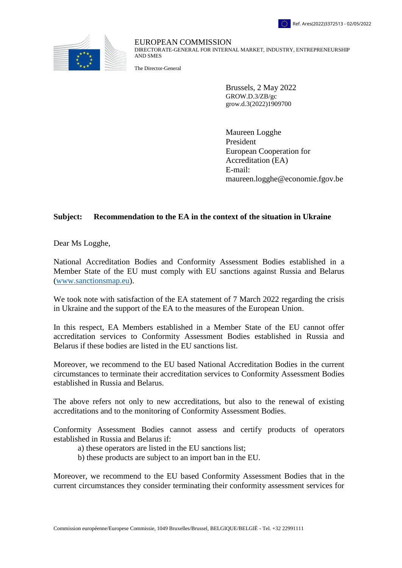



EUROPEAN COMMISSION DIRECTORATE-GENERAL FOR INTERNAL MARKET, INDUSTRY, ENTREPRENEURSHIP AND SMES

The Director-General

Brussels, 2 May 2022 GROW.D.3/ZB/gc grow.d.3(2022)1909700

Maureen Logghe President European Cooperation for Accreditation (EA) E-mail: maureen.logghe@economie.fgov.be

## **Subject: Recommendation to the EA in the context of the situation in Ukraine**

Dear Ms Logghe,

National Accreditation Bodies and Conformity Assessment Bodies established in a Member State of the EU must comply with EU sanctions against Russia and Belarus [\(www.sanctionsmap.eu\)](http://www.sanctionsmap.eu/).

We took note with satisfaction of the EA statement of 7 March 2022 regarding the crisis in Ukraine and the support of the EA to the measures of the European Union.

In this respect, EA Members established in a Member State of the EU cannot offer accreditation services to Conformity Assessment Bodies established in Russia and Belarus if these bodies are listed in the EU sanctions list.

Moreover, we recommend to the EU based National Accreditation Bodies in the current circumstances to terminate their accreditation services to Conformity Assessment Bodies established in Russia and Belarus.

The above refers not only to new accreditations, but also to the renewal of existing accreditations and to the monitoring of Conformity Assessment Bodies.

Conformity Assessment Bodies cannot assess and certify products of operators established in Russia and Belarus if:

- a) these operators are listed in the EU sanctions list;
- b) these products are subject to an import ban in the EU.

Moreover, we recommend to the EU based Conformity Assessment Bodies that in the current circumstances they consider terminating their conformity assessment services for